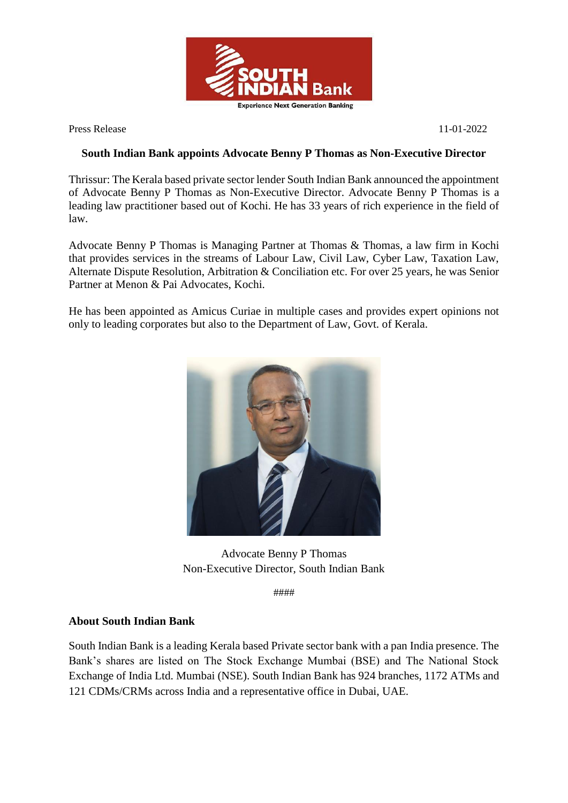

Press Release 11-01-2022

## **South Indian Bank appoints Advocate Benny P Thomas as Non-Executive Director**

Thrissur: The Kerala based private sector lender South Indian Bank announced the appointment of Advocate Benny P Thomas as Non-Executive Director. Advocate Benny P Thomas is a leading law practitioner based out of Kochi. He has 33 years of rich experience in the field of law.

Advocate Benny P Thomas is Managing Partner at Thomas & Thomas, a law firm in Kochi that provides services in the streams of Labour Law, Civil Law, Cyber Law, Taxation Law, Alternate Dispute Resolution, Arbitration & Conciliation etc. For over 25 years, he was Senior Partner at Menon & Pai Advocates, Kochi.

He has been appointed as Amicus Curiae in multiple cases and provides expert opinions not only to leading corporates but also to the Department of Law, Govt. of Kerala.



Advocate Benny P Thomas Non-Executive Director, South Indian Bank

####

## **About South Indian Bank**

South Indian Bank is a leading Kerala based Private sector bank with a pan India presence. The Bank's shares are listed on The Stock Exchange Mumbai (BSE) and The National Stock Exchange of India Ltd. Mumbai (NSE). South Indian Bank has 924 branches, 1172 ATMs and 121 CDMs/CRMs across India and a representative office in Dubai, UAE.